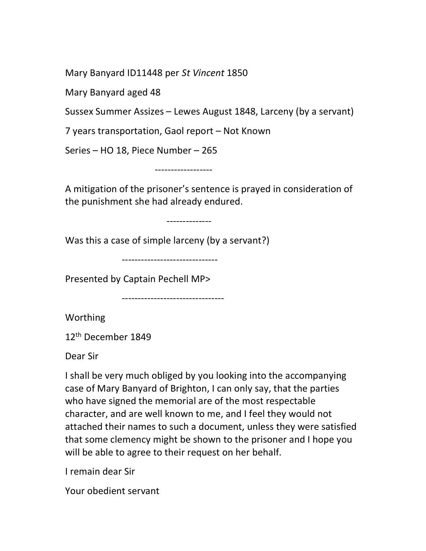Mary Banyard ID11448 per St Vincent 1850

Mary Banyard aged 48

Sussex Summer Assizes – Lewes August 1848, Larceny (by a servant)

7 years transportation, Gaol report – Not Known

Series – HO 18, Piece Number – 265

------------------

A mitigation of the prisoner's sentence is prayed in consideration of the punishment she had already endured.

--------------

Was this a case of simple larceny (by a servant?)

------------------------------

Presented by Captain Pechell MP>

--------------------------------

Worthing

12<sup>th</sup> December 1849

Dear Sir

I shall be very much obliged by you looking into the accompanying case of Mary Banyard of Brighton, I can only say, that the parties who have signed the memorial are of the most respectable character, and are well known to me, and I feel they would not attached their names to such a document, unless they were satisfied that some clemency might be shown to the prisoner and I hope you will be able to agree to their request on her behalf.

I remain dear Sir

Your obedient servant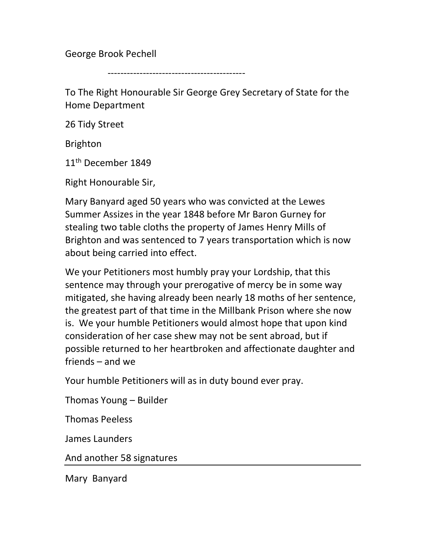George Brook Pechell

-------------------------------------------

To The Right Honourable Sir George Grey Secretary of State for the Home Department

26 Tidy Street

Brighton

11<sup>th</sup> December 1849

Right Honourable Sir,

Mary Banyard aged 50 years who was convicted at the Lewes Summer Assizes in the year 1848 before Mr Baron Gurney for stealing two table cloths the property of James Henry Mills of Brighton and was sentenced to 7 years transportation which is now about being carried into effect.

We your Petitioners most humbly pray your Lordship, that this sentence may through your prerogative of mercy be in some way mitigated, she having already been nearly 18 moths of her sentence, the greatest part of that time in the Millbank Prison where she now is. We your humble Petitioners would almost hope that upon kind consideration of her case shew may not be sent abroad, but if possible returned to her heartbroken and affectionate daughter and friends – and we

Your humble Petitioners will as in duty bound ever pray.

Thomas Young – Builder

Thomas Peeless

James Launders

And another 58 signatures

Mary Banyard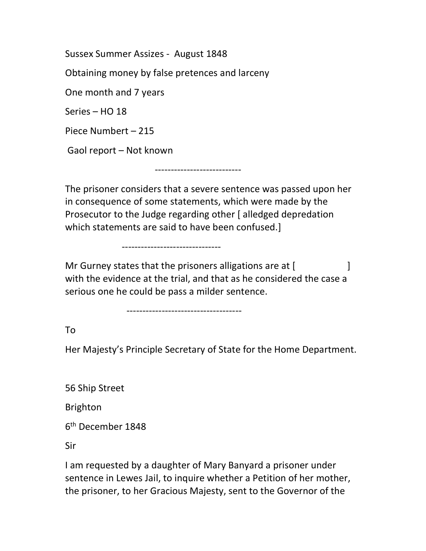Sussex Summer Assizes - August 1848

Obtaining money by false pretences and larceny

One month and 7 years

Series – HO 18

Piece Numbert – 215

Gaol report – Not known

The prisoner considers that a severe sentence was passed upon her in consequence of some statements, which were made by the Prosecutor to the Judge regarding other [alledged depredation] which statements are said to have been confused.]

---------------------------

Mr Gurney states that the prisoners alligations are at [ with the evidence at the trial, and that as he considered the case a serious one he could be pass a milder sentence.

------------------------------------

-------------------------------

To

Her Majesty's Principle Secretary of State for the Home Department.

56 Ship Street

Brighton

6 th December 1848

Sir

I am requested by a daughter of Mary Banyard a prisoner under sentence in Lewes Jail, to inquire whether a Petition of her mother, the prisoner, to her Gracious Majesty, sent to the Governor of the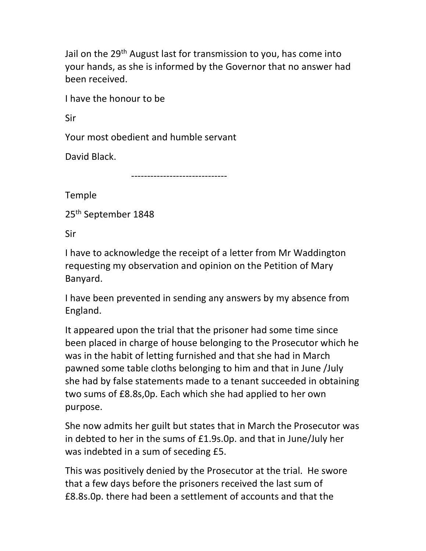Jail on the 29<sup>th</sup> August last for transmission to you, has come into your hands, as she is informed by the Governor that no answer had been received.

I have the honour to be

Sir

Your most obedient and humble servant

David Black.

------------------------------

Temple

25th September 1848

Sir

I have to acknowledge the receipt of a letter from Mr Waddington requesting my observation and opinion on the Petition of Mary Banyard.

I have been prevented in sending any answers by my absence from England.

It appeared upon the trial that the prisoner had some time since been placed in charge of house belonging to the Prosecutor which he was in the habit of letting furnished and that she had in March pawned some table cloths belonging to him and that in June /July she had by false statements made to a tenant succeeded in obtaining two sums of £8.8s,0p. Each which she had applied to her own purpose.

She now admits her guilt but states that in March the Prosecutor was in debted to her in the sums of £1.9s.0p. and that in June/July her was indebted in a sum of seceding £5.

This was positively denied by the Prosecutor at the trial. He swore that a few days before the prisoners received the last sum of £8.8s.0p. there had been a settlement of accounts and that the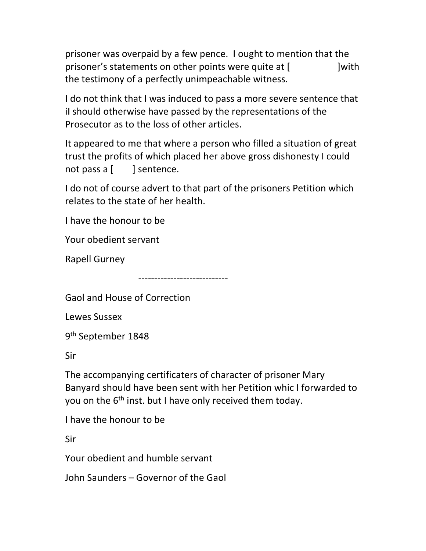prisoner was overpaid by a few pence. I ought to mention that the prisoner's statements on other points were quite at [ ] with the testimony of a perfectly unimpeachable witness.

I do not think that I was induced to pass a more severe sentence that iI should otherwise have passed by the representations of the Prosecutor as to the loss of other articles.

It appeared to me that where a person who filled a situation of great trust the profits of which placed her above gross dishonesty I could not pass a  $\left\lceil \ \ \ \ \ \ \right\rceil$  sentence.

I do not of course advert to that part of the prisoners Petition which relates to the state of her health.

I have the honour to be

Your obedient servant

Rapell Gurney

----------------------------

Gaol and House of Correction

Lewes Sussex

9 th September 1848

Sir

The accompanying certificaters of character of prisoner Mary Banyard should have been sent with her Petition whic I forwarded to you on the  $6<sup>th</sup>$  inst. but I have only received them today.

I have the honour to be

Sir

Your obedient and humble servant

John Saunders – Governor of the Gaol